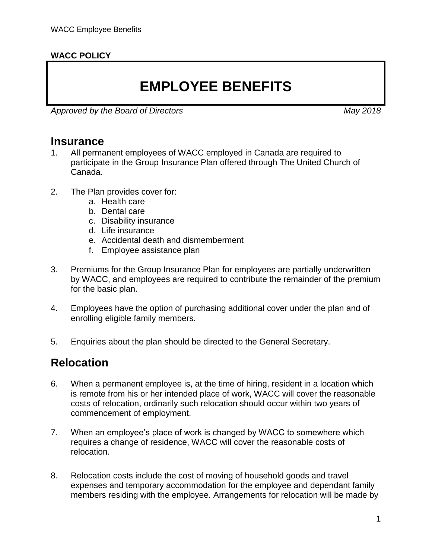#### **WACC POLICY**

# **EMPLOYEE BENEFITS**

*Approved by the Board of Directors May 2018*

#### **Insurance**

- 1. All permanent employees of WACC employed in Canada are required to participate in the Group Insurance Plan offered through The United Church of Canada.
- 2. The Plan provides cover for:
	- a. Health care
	- b. Dental care
	- c. Disability insurance
	- d. Life insurance
	- e. Accidental death and dismemberment
	- f. Employee assistance plan
- 3. Premiums for the Group Insurance Plan for employees are partially underwritten by WACC, and employees are required to contribute the remainder of the premium for the basic plan.
- 4. Employees have the option of purchasing additional cover under the plan and of enrolling eligible family members.
- 5. Enquiries about the plan should be directed to the General Secretary.

### **Relocation**

- 6. When a permanent employee is, at the time of hiring, resident in a location which is remote from his or her intended place of work, WACC will cover the reasonable costs of relocation, ordinarily such relocation should occur within two years of commencement of employment.
- 7. When an employee's place of work is changed by WACC to somewhere which requires a change of residence, WACC will cover the reasonable costs of relocation.
- <span id="page-0-0"></span>8. Relocation costs include the cost of moving of household goods and travel expenses and temporary accommodation for the employee and dependant family members residing with the employee. Arrangements for relocation will be made by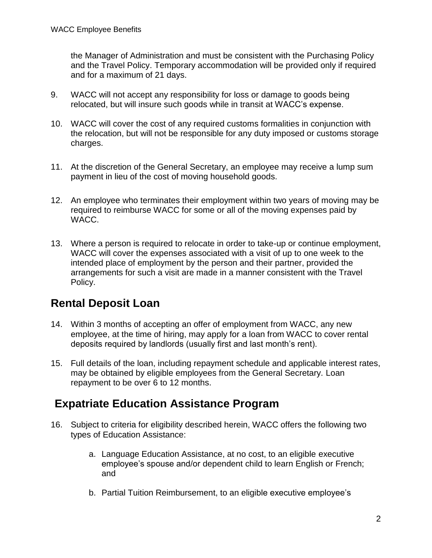the Manager of Administration and must be consistent with the Purchasing Policy and the Travel Policy. Temporary accommodation will be provided only if required and for a maximum of 21 days.

- <span id="page-1-0"></span>9. WACC will not accept any responsibility for loss or damage to goods being relocated, but will insure such goods while in transit at WACC's expense.
- <span id="page-1-1"></span>10. WACC will cover the cost of any required customs formalities in conjunction with the relocation, but will not be responsible for any duty imposed or customs storage charges.
- 11. At the discretion of the General Secretary, an employee may receive a lump sum payment in lieu of the cost of moving household goods.
- 12. An employee who terminates their employment within two years of moving may be required to reimburse WACC for some or all of the moving expenses paid by WACC.
- 13. Where a person is required to relocate in order to take-up or continue employment, WACC will cover the expenses associated with a visit of up to one week to the intended place of employment by the person and their partner, provided the arrangements for such a visit are made in a manner consistent with the Travel Policy.

### **Rental Deposit Loan**

- 14. Within 3 months of accepting an offer of employment from WACC, any new employee, at the time of hiring, may apply for a loan from WACC to cover rental deposits required by landlords (usually first and last month's rent).
- 15. Full details of the loan, including repayment schedule and applicable interest rates, may be obtained by eligible employees from the General Secretary. Loan repayment to be over 6 to 12 months.

# **Expatriate Education Assistance Program**

- 16. Subject to criteria for eligibility described herein, WACC offers the following two types of Education Assistance:
	- a. Language Education Assistance, at no cost, to an eligible executive employee's spouse and/or dependent child to learn English or French; and
	- b. Partial Tuition Reimbursement, to an eligible executive employee's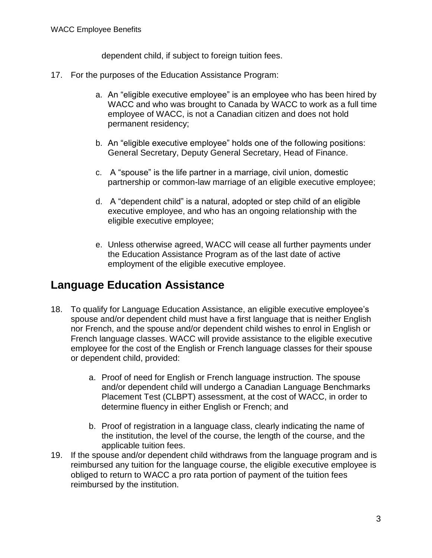dependent child, if subject to foreign tuition fees.

- 17. For the purposes of the Education Assistance Program:
	- a. An "eligible executive employee" is an employee who has been hired by WACC and who was brought to Canada by WACC to work as a full time employee of WACC, is not a Canadian citizen and does not hold permanent residency;
	- b. An "eligible executive employee" holds one of the following positions: General Secretary, Deputy General Secretary, Head of Finance.
	- c. A "spouse" is the life partner in a marriage, civil union, domestic partnership or common-law marriage of an eligible executive employee;
	- d. A "dependent child" is a natural, adopted or step child of an eligible executive employee, and who has an ongoing relationship with the eligible executive employee;
	- e. Unless otherwise agreed, WACC will cease all further payments under the Education Assistance Program as of the last date of active employment of the eligible executive employee.

### **Language Education Assistance**

- 18. To qualify for Language Education Assistance, an eligible executive employee's spouse and/or dependent child must have a first language that is neither English nor French, and the spouse and/or dependent child wishes to enrol in English or French language classes. WACC will provide assistance to the eligible executive employee for the cost of the English or French language classes for their spouse or dependent child, provided:
	- a. Proof of need for English or French language instruction. The spouse and/or dependent child will undergo a Canadian Language Benchmarks Placement Test (CLBPT) assessment, at the cost of WACC, in order to determine fluency in either English or French; and
	- b. Proof of registration in a language class, clearly indicating the name of the institution, the level of the course, the length of the course, and the applicable tuition fees.
- 19. If the spouse and/or dependent child withdraws from the language program and is reimbursed any tuition for the language course, the eligible executive employee is obliged to return to WACC a pro rata portion of payment of the tuition fees reimbursed by the institution.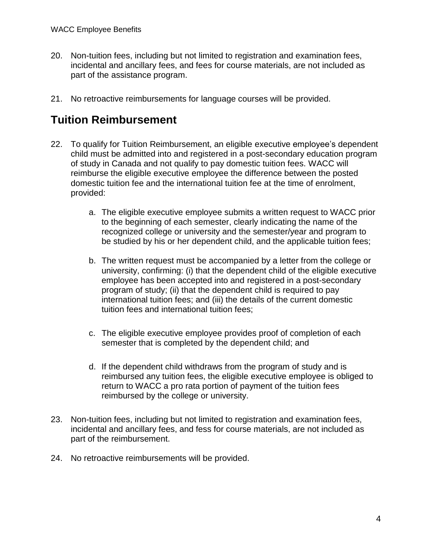- 20. Non-tuition fees, including but not limited to registration and examination fees, incidental and ancillary fees, and fees for course materials, are not included as part of the assistance program.
- 21. No retroactive reimbursements for language courses will be provided.

# **Tuition Reimbursement**

- 22. To qualify for Tuition Reimbursement, an eligible executive employee's dependent child must be admitted into and registered in a post-secondary education program of study in Canada and not qualify to pay domestic tuition fees. WACC will reimburse the eligible executive employee the difference between the posted domestic tuition fee and the international tuition fee at the time of enrolment, provided:
	- a. The eligible executive employee submits a written request to WACC prior to the beginning of each semester, clearly indicating the name of the recognized college or university and the semester/year and program to be studied by his or her dependent child, and the applicable tuition fees;
	- b. The written request must be accompanied by a letter from the college or university, confirming: (i) that the dependent child of the eligible executive employee has been accepted into and registered in a post-secondary program of study; (ii) that the dependent child is required to pay international tuition fees; and (iii) the details of the current domestic tuition fees and international tuition fees;
	- c. The eligible executive employee provides proof of completion of each semester that is completed by the dependent child; and
	- d. If the dependent child withdraws from the program of study and is reimbursed any tuition fees, the eligible executive employee is obliged to return to WACC a pro rata portion of payment of the tuition fees reimbursed by the college or university.
- 23. Non-tuition fees, including but not limited to registration and examination fees, incidental and ancillary fees, and fess for course materials, are not included as part of the reimbursement.
- 24. No retroactive reimbursements will be provided.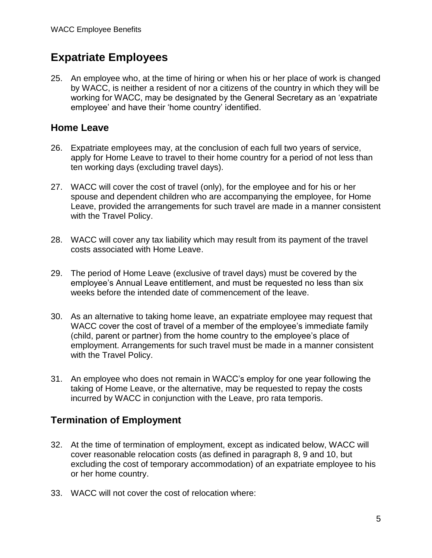### **Expatriate Employees**

25. An employee who, at the time of hiring or when his or her place of work is changed by WACC, is neither a resident of nor a citizens of the country in which they will be working for WACC, may be designated by the General Secretary as an 'expatriate employee' and have their 'home country' identified.

#### **Home Leave**

- 26. Expatriate employees may, at the conclusion of each full two years of service, apply for Home Leave to travel to their home country for a period of not less than ten working days (excluding travel days).
- 27. WACC will cover the cost of travel (only), for the employee and for his or her spouse and dependent children who are accompanying the employee, for Home Leave, provided the arrangements for such travel are made in a manner consistent with the Travel Policy.
- 28. WACC will cover any tax liability which may result from its payment of the travel costs associated with Home Leave.
- 29. The period of Home Leave (exclusive of travel days) must be covered by the employee's Annual Leave entitlement, and must be requested no less than six weeks before the intended date of commencement of the leave.
- 30. As an alternative to taking home leave, an expatriate employee may request that WACC cover the cost of travel of a member of the employee's immediate family (child, parent or partner) from the home country to the employee's place of employment. Arrangements for such travel must be made in a manner consistent with the Travel Policy.
- 31. An employee who does not remain in WACC's employ for one year following the taking of Home Leave, or the alternative, may be requested to repay the costs incurred by WACC in conjunction with the Leave, pro rata temporis.

#### **Termination of Employment**

- 32. At the time of termination of employment, except as indicated below, WACC will cover reasonable relocation costs (as defined in paragraph [8,](#page-0-0) [9](#page-1-0) and [10,](#page-1-1) but excluding the cost of temporary accommodation) of an expatriate employee to his or her home country.
- 33. WACC will not cover the cost of relocation where: